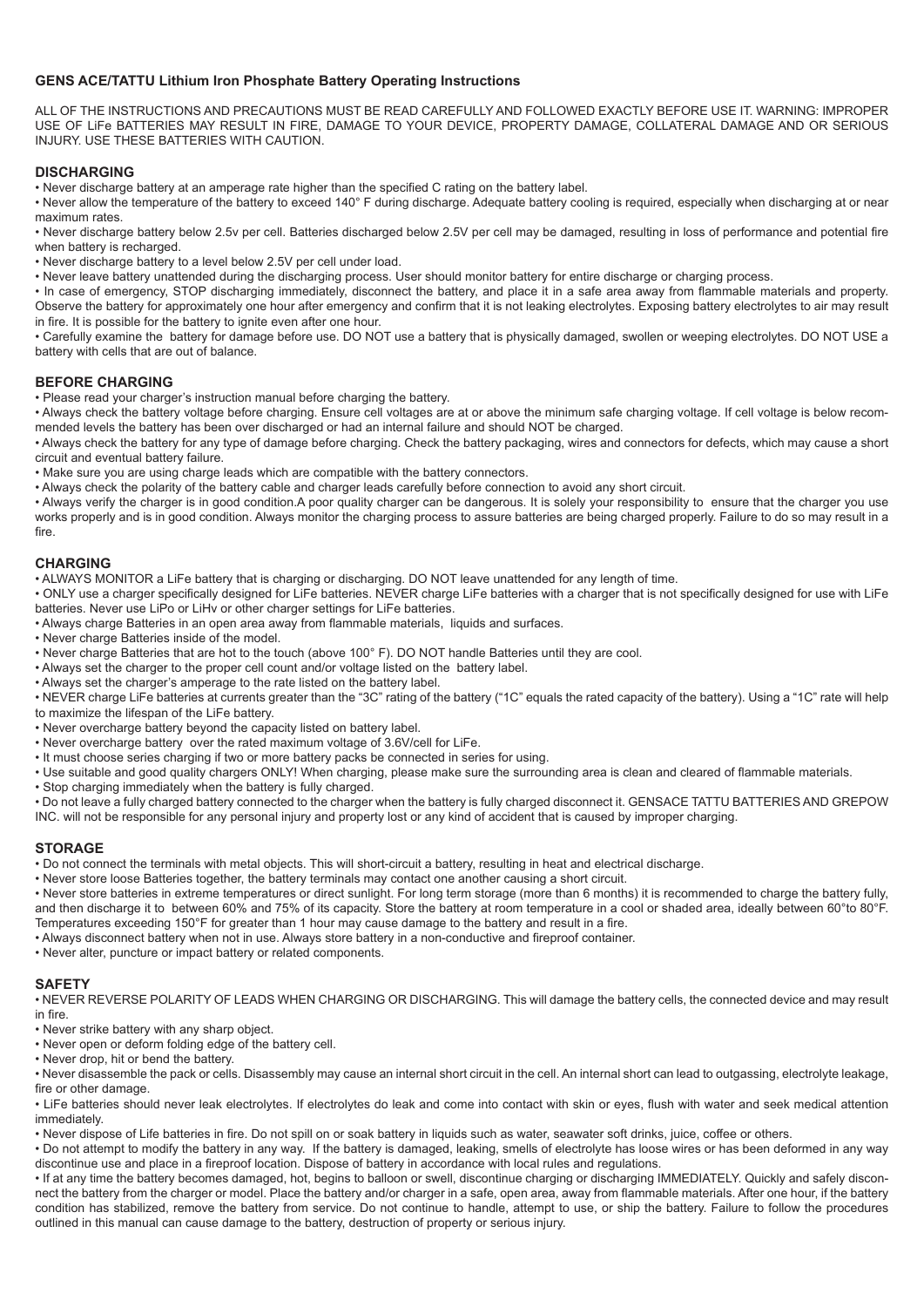## **GENS ACE/TATTU Lithium Iron Phosphate Battery Operating Instructions**

ALL OF THE INSTRUCTIONS AND PRECAUTIONS MUST BE READ CAREFULLY AND FOLLOWED EXACTLY BEFORE USE IT. WARNING: IMPROPER USE OF LiFe BATTERIES MAY RESULT IN FIRE, DAMAGE TO YOUR DEVICE, PROPERTY DAMAGE, COLLATERAL DAMAGE AND OR SERIOUS INJURY. USE THESE BATTERIES WITH CAUTION.

## **DISCHARGING**

• Never discharge battery at an amperage rate higher than the specified C rating on the battery label.

• Never allow the temperature of the battery to exceed 140° F during discharge. Adequate battery cooling is required, especially when discharging at or near maximum rates.

• Never discharge battery below 2.5v per cell. Batteries discharged below 2.5V per cell may be damaged, resulting in loss of performance and potential fire when battery is recharged.

• Never discharge battery to a level below 2.5V per cell under load.

• Never leave battery unattended during the discharging process. User should monitor battery for entire discharge or charging process.

• In case of emergency, STOP discharging immediately, disconnect the battery, and place it in a safe area away from flammable materials and property. Observe the battery for approximately one hour after emergency and confirm that it is not leaking electrolytes. Exposing battery electrolytes to air may result in fire. It is possible for the battery to ignite even after one hour.

• Carefully examine the battery for damage before use. DO NOT use a battery that is physically damaged, swollen or weeping electrolytes. DO NOT USE a battery with cells that are out of balance.

### **BEFORE CHARGING**

• Please read your charger's instruction manual before charging the battery.

• Always check the battery voltage before charging. Ensure cell voltages are at or above the minimum safe charging voltage. If cell voltage is below recommended levels the battery has been over discharged or had an internal failure and should NOT be charged.

• Always check the battery for any type of damage before charging. Check the battery packaging, wires and connectors for defects, which may cause a short circuit and eventual battery failure.

• Make sure you are using charge leads which are compatible with the battery connectors.

• Always check the polarity of the battery cable and charger leads carefully before connection to avoid any short circuit.

• Always verify the charger is in good condition.A poor quality charger can be dangerous. It is solely your responsibility to ensure that the charger you use works properly and is in good condition. Always monitor the charging process to assure batteries are being charged properly. Failure to do so may result in a fire.

# **CHARGING**

• ALWAYS MONITOR a LiFe battery that is charging or discharging. DO NOT leave unattended for any length of time.

• ONLY use a charger specifically designed for LiFe batteries. NEVER charge LiFe batteries with a charger that is not specifically designed for use with LiFe batteries. Never use LiPo or LiHv or other charger settings for LiFe batteries.

• Always charge Batteries in an open area away from flammable materials, liquids and surfaces.

• Never charge Batteries inside of the model.

• Never charge Batteries that are hot to the touch (above 100° F). DO NOT handle Batteries until they are cool.

• Always set the charger to the proper cell count and/or voltage listed on the battery label.

• Always set the charger's amperage to the rate listed on the battery label.

• NEVER charge LiFe batteries at currents greater than the "3C" rating of the battery ("1C" equals the rated capacity of the battery). Using a "1C" rate will help to maximize the lifespan of the LiFe battery.

• Never overcharge battery beyond the capacity listed on battery label.

• Never overcharge battery over the rated maximum voltage of 3.6V/cell for LiFe.

• It must choose series charging if two or more battery packs be connected in series for using.

• Use suitable and good quality chargers ONLY! When charging, please make sure the surrounding area is clean and cleared of flammable materials.

• Stop charging immediately when the battery is fully charged.

• Do not leave a fully charged battery connected to the charger when the battery is fully charged disconnect it. GENSACE TATTU BATTERIES AND GREPOW INC. will not be responsible for any personal injury and property lost or any kind of accident that is caused by improper charging.

### **STORAGE**

• Do not connect the terminals with metal objects. This will short-circuit a battery, resulting in heat and electrical discharge.

• Never store loose Batteries together, the battery terminals may contact one another causing a short circuit.

• Never store batteries in extreme temperatures or direct sunlight. For long term storage (more than 6 months) it is recommended to charge the battery fully, and then discharge it to between 60% and 75% of its capacity. Store the battery at room temperature in a cool or shaded area, ideally between 60°to 80°F. Temperatures exceeding 150°F for greater than 1 hour may cause damage to the battery and result in a fire.

• Always disconnect battery when not in use. Always store battery in a non-conductive and fireproof container.

• Never alter, puncture or impact battery or related components.

# **SAFETY**

• NEVER REVERSE POLARITY OF LEADS WHEN CHARGING OR DISCHARGING. This will damage the battery cells, the connected device and may result in fire.

• Never strike battery with any sharp object.

• Never open or deform folding edge of the battery cell.

• Never drop, hit or bend the battery.

• Never disassemble the pack or cells. Disassembly may cause an internal short circuit in the cell. An internal short can lead to outgassing, electrolyte leakage, fire or other damage.

• LiFe batteries should never leak electrolytes. If electrolytes do leak and come into contact with skin or eyes, flush with water and seek medical attention immediately.

• Never dispose of Life batteries in fire. Do not spill on or soak battery in liquids such as water, seawater soft drinks, juice, coffee or others.

• Do not attempt to modify the battery in any way. If the battery is damaged, leaking, smells of electrolyte has loose wires or has been deformed in any way discontinue use and place in a fireproof location. Dispose of battery in accordance with local rules and regulations.

• If at any time the battery becomes damaged, hot, begins to balloon or swell, discontinue charging or discharging IMMEDIATELY. Quickly and safely disconnect the battery from the charger or model. Place the battery and/or charger in a safe, open area, away from flammable materials. After one hour, if the battery condition has stabilized, remove the battery from service. Do not continue to handle, attempt to use, or ship the battery. Failure to follow the procedures outlined in this manual can cause damage to the battery, destruction of property or serious injury.